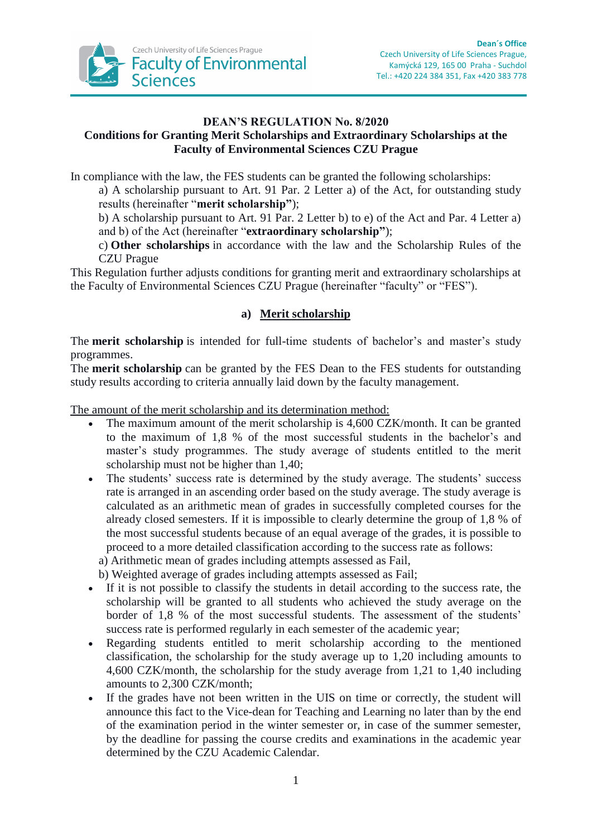

## **DEAN'S REGULATION No. 8/2020 Conditions for Granting Merit Scholarships and Extraordinary Scholarships at the Faculty of Environmental Sciences CZU Prague**

In compliance with the law, the FES students can be granted the following scholarships:

a) A scholarship pursuant to Art. 91 Par. 2 Letter a) of the Act, for outstanding study results (hereinafter "**merit scholarship"**);

b) A scholarship pursuant to Art. 91 Par. 2 Letter b) to e) of the Act and Par. 4 Letter a) and b) of the Act (hereinafter "**extraordinary scholarship"**);

c) **Other scholarships** in accordance with the law and the Scholarship Rules of the CZU Prague

This Regulation further adjusts conditions for granting merit and extraordinary scholarships at the Faculty of Environmental Sciences CZU Prague (hereinafter "faculty" or "FES").

## **a) Merit scholarship**

The **merit scholarship** is intended for full-time students of bachelor's and master's study programmes.

The **merit scholarship** can be granted by the FES Dean to the FES students for outstanding study results according to criteria annually laid down by the faculty management.

The amount of the merit scholarship and its determination method:

- The maximum amount of the merit scholarship is 4,600 CZK/month. It can be granted to the maximum of 1,8 % of the most successful students in the bachelor's and master's study programmes. The study average of students entitled to the merit scholarship must not be higher than 1,40;
- The students' success rate is determined by the study average. The students' success rate is arranged in an ascending order based on the study average. The study average is calculated as an arithmetic mean of grades in successfully completed courses for the already closed semesters. If it is impossible to clearly determine the group of 1,8 % of the most successful students because of an equal average of the grades, it is possible to proceed to a more detailed classification according to the success rate as follows:
	- a) Arithmetic mean of grades including attempts assessed as Fail,
	- b) Weighted average of grades including attempts assessed as Fail;
- If it is not possible to classify the students in detail according to the success rate, the scholarship will be granted to all students who achieved the study average on the border of 1,8 % of the most successful students. The assessment of the students' success rate is performed regularly in each semester of the academic year;
- Regarding students entitled to merit scholarship according to the mentioned classification, the scholarship for the study average up to 1,20 including amounts to 4,600 CZK/month, the scholarship for the study average from 1,21 to 1,40 including amounts to 2,300 CZK/month;
- If the grades have not been written in the UIS on time or correctly, the student will announce this fact to the Vice-dean for Teaching and Learning no later than by the end of the examination period in the winter semester or, in case of the summer semester, by the deadline for passing the course credits and examinations in the academic year determined by the CZU Academic Calendar.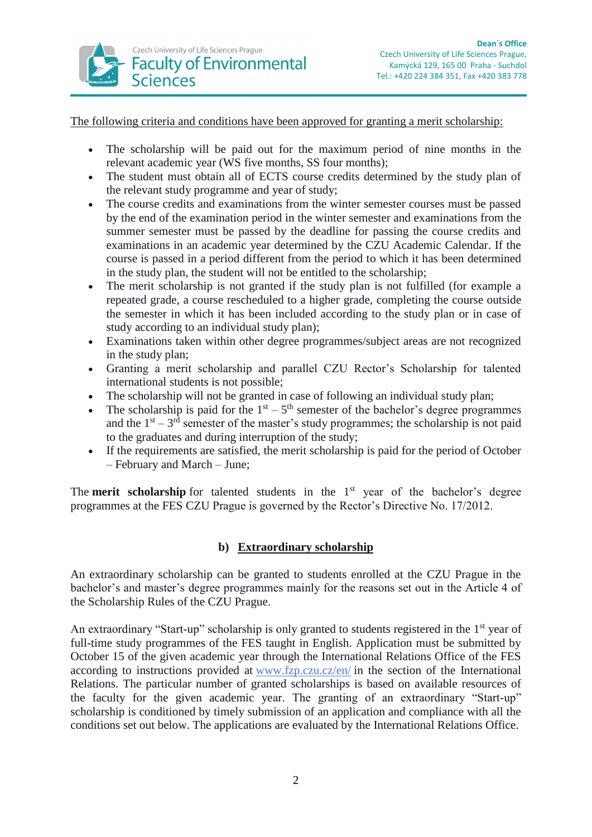

The following criteria and conditions have been approved for granting a merit scholarship:

- The scholarship will be paid out for the maximum period of nine months in the relevant academic year (WS five months, SS four months);
- The student must obtain all of ECTS course credits determined by the study plan of the relevant study programme and year of study;
- The course credits and examinations from the winter semester courses must be passed by the end of the examination period in the winter semester and examinations from the summer semester must be passed by the deadline for passing the course credits and examinations in an academic year determined by the CZU Academic Calendar. If the course is passed in a period different from the period to which it has been determined in the study plan, the student will not be entitled to the scholarship;
- The merit scholarship is not granted if the study plan is not fulfilled (for example a repeated grade, a course rescheduled to a higher grade, completing the course outside the semester in which it has been included according to the study plan or in case of study according to an individual study plan);
- Examinations taken within other degree programmes/subject areas are not recognized in the study plan;
- Granting a merit scholarship and parallel CZU Rector's Scholarship for talented international students is not possible;
- The scholarship will not be granted in case of following an individual study plan;
- The scholarship is paid for the  $1<sup>st</sup> 5<sup>th</sup>$  semester of the bachelor's degree programmes and the  $1<sup>st</sup> - 3<sup>rd</sup>$  semester of the master's study programmes; the scholarship is not paid to the graduates and during interruption of the study;
- If the requirements are satisfied, the merit scholarship is paid for the period of October – February and March – June;

The **merit scholarship** for talented students in the 1<sup>st</sup> year of the bachelor's degree programmes at the FES CZU Prague is governed by the Rector's Directive No. 17/2012.

## **b) Extraordinary scholarship**

An extraordinary scholarship can be granted to students enrolled at the CZU Prague in the bachelor's and master's degree programmes mainly for the reasons set out in the Article 4 of the Scholarship Rules of the CZU Prague.

An extraordinary "Start-up" scholarship is only granted to students registered in the 1<sup>st</sup> year of full-time study programmes of the FES taught in English. Application must be submitted by October 15 of the given academic year through the International Relations Office of the FES according to instructions provided at [www.fzp.czu.cz/en/](http://www.fzp.czu.cz/en/) in the section of the International Relations. The particular number of granted scholarships is based on available resources of the faculty for the given academic year. The granting of an extraordinary "Start-up" scholarship is conditioned by timely submission of an application and compliance with all the conditions set out below. The applications are evaluated by the International Relations Office.